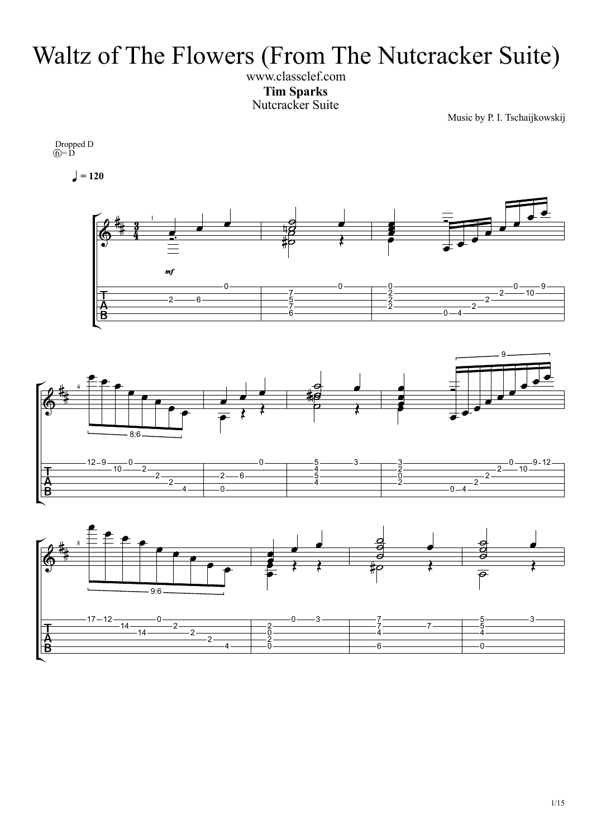## Waltz of The Flowers (From The Nutcracker Suite)

www.classclef.com **Tim Sparks** Nutcracker Suite

Music by P. I.Tschaijkowskij

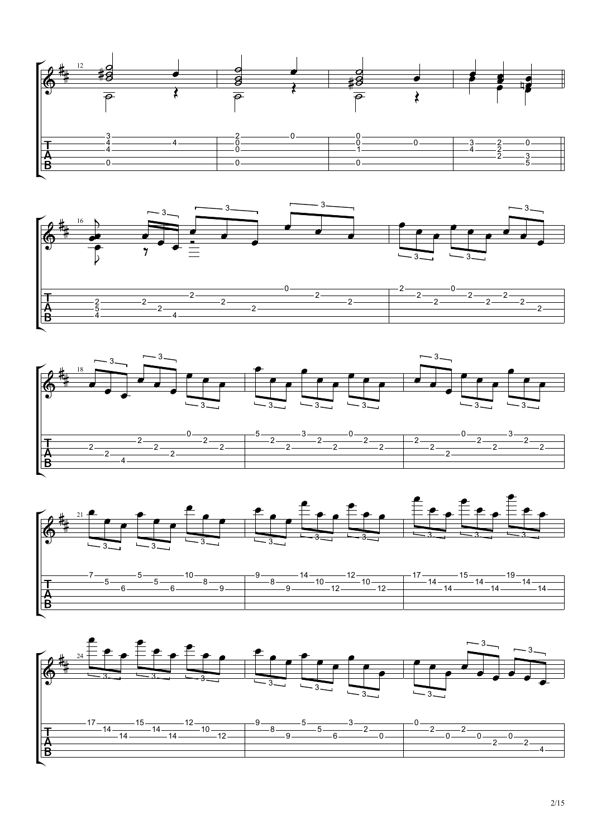







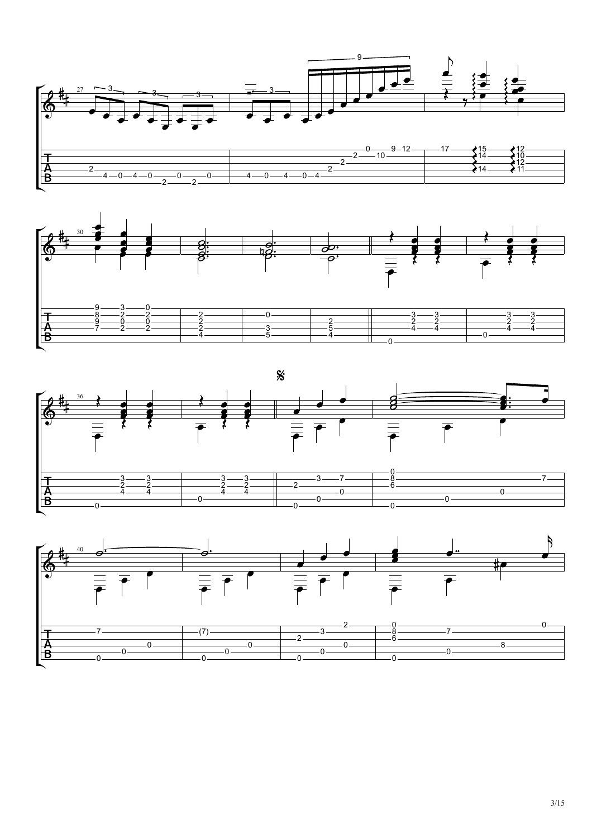







 $3/15$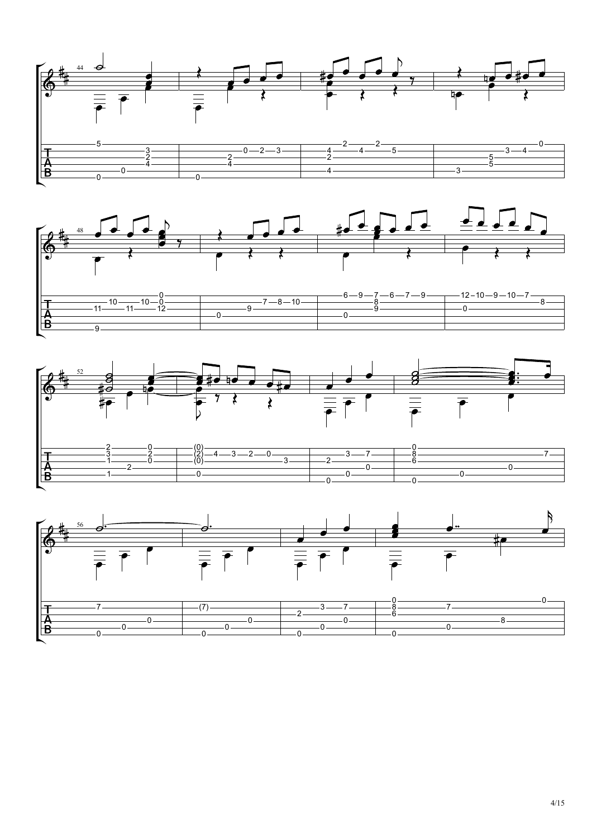





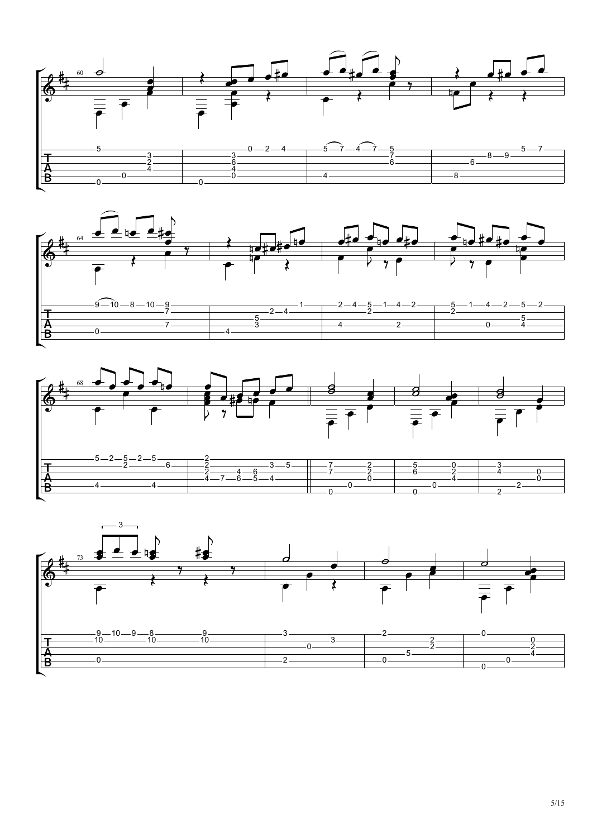





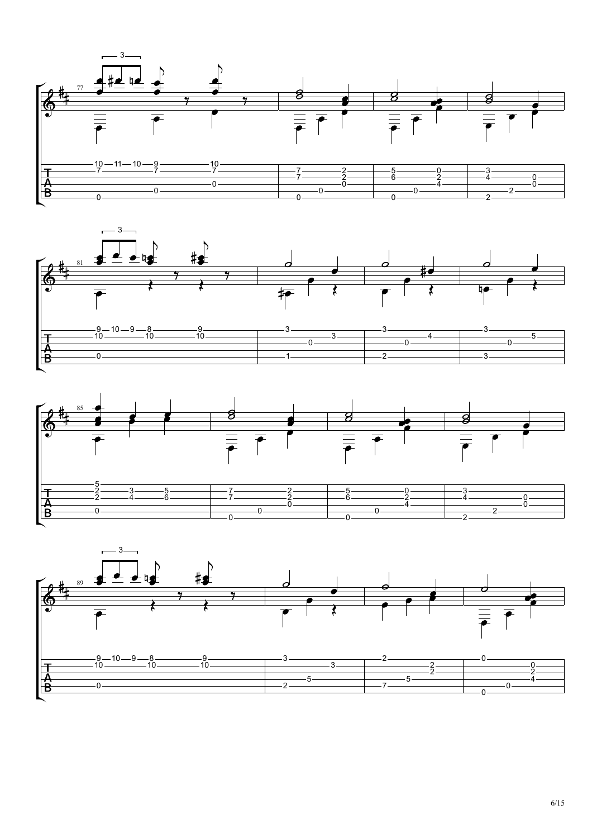





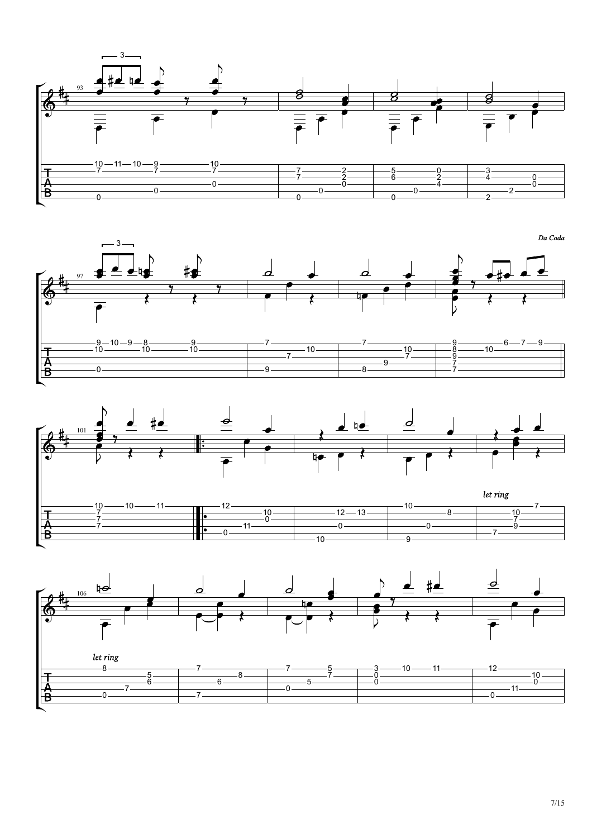









 $7/15$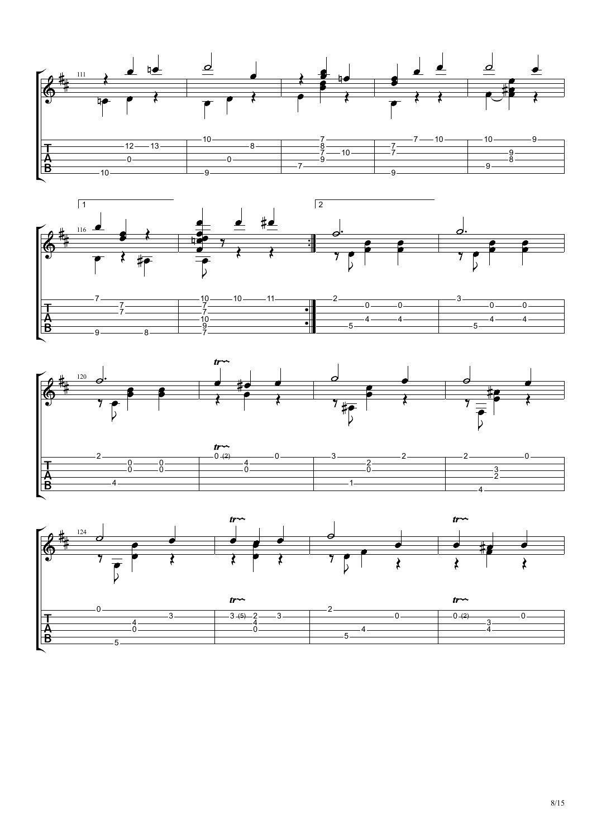





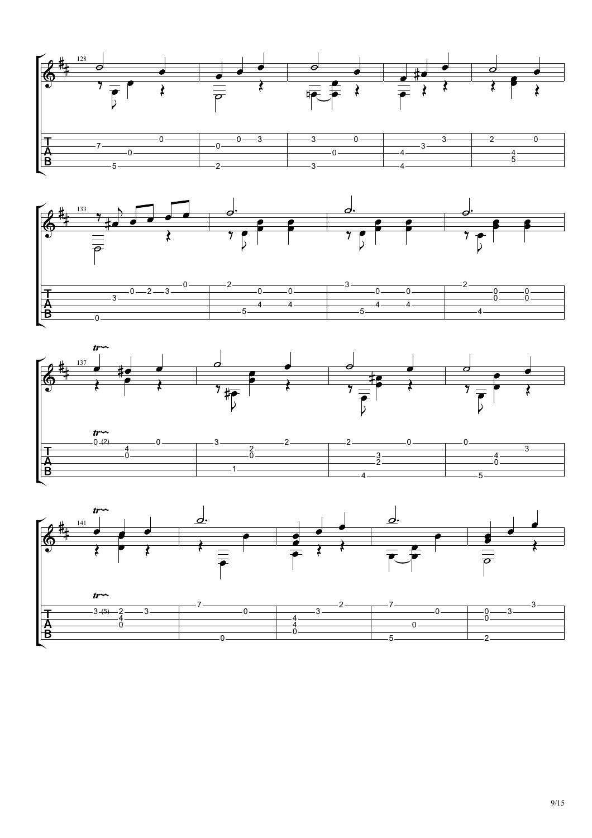





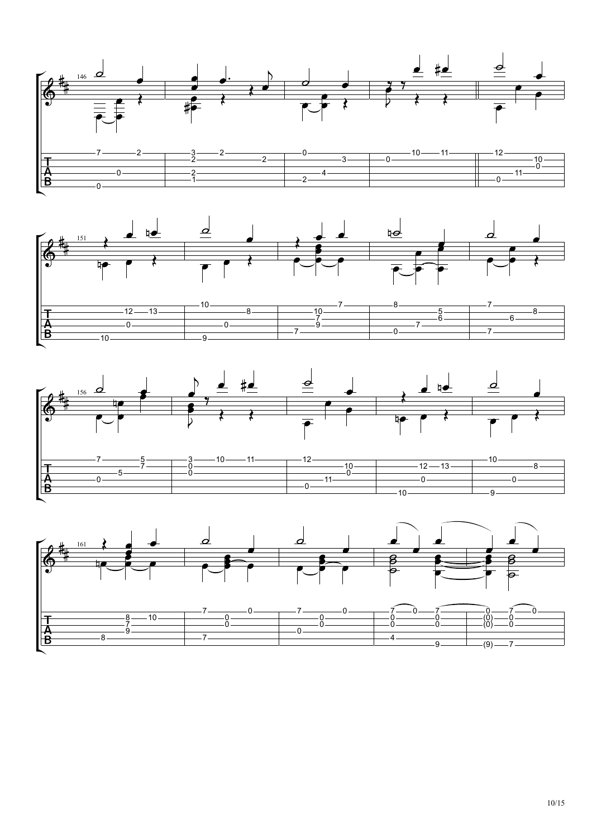





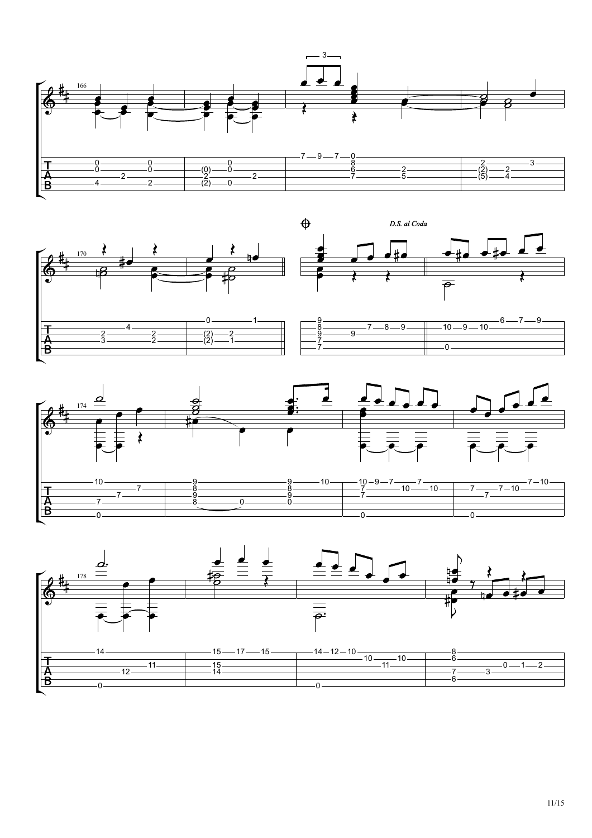





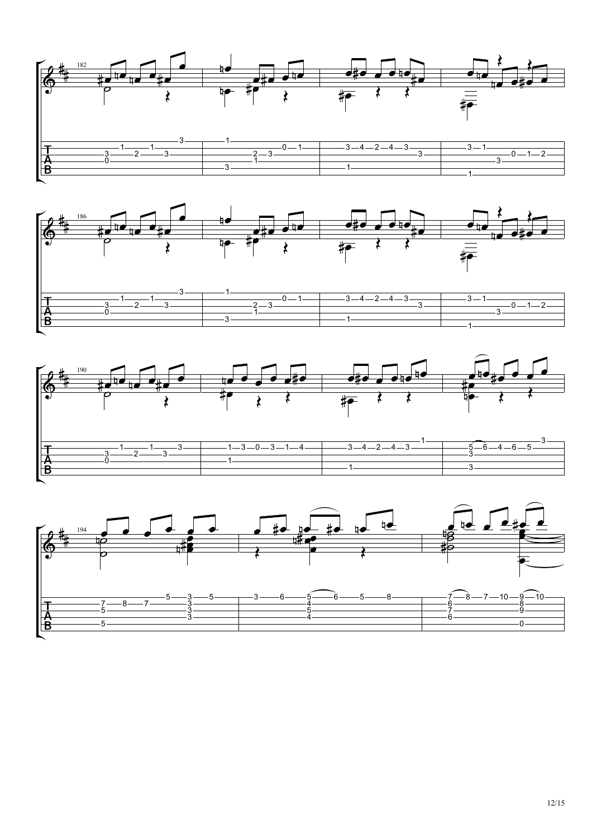





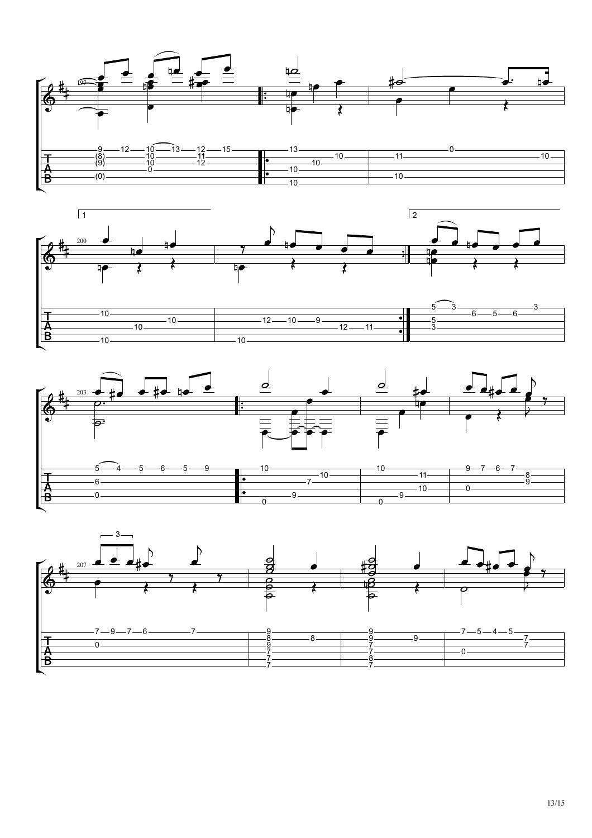





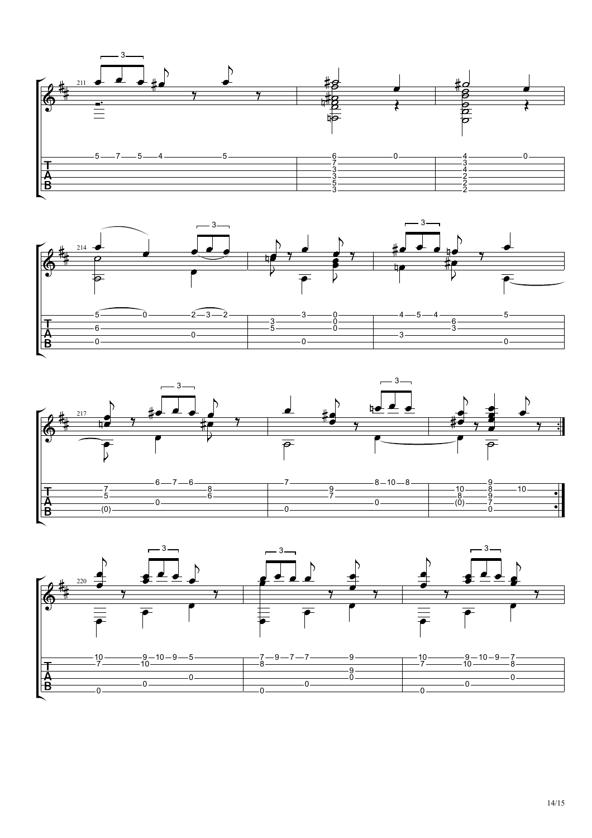